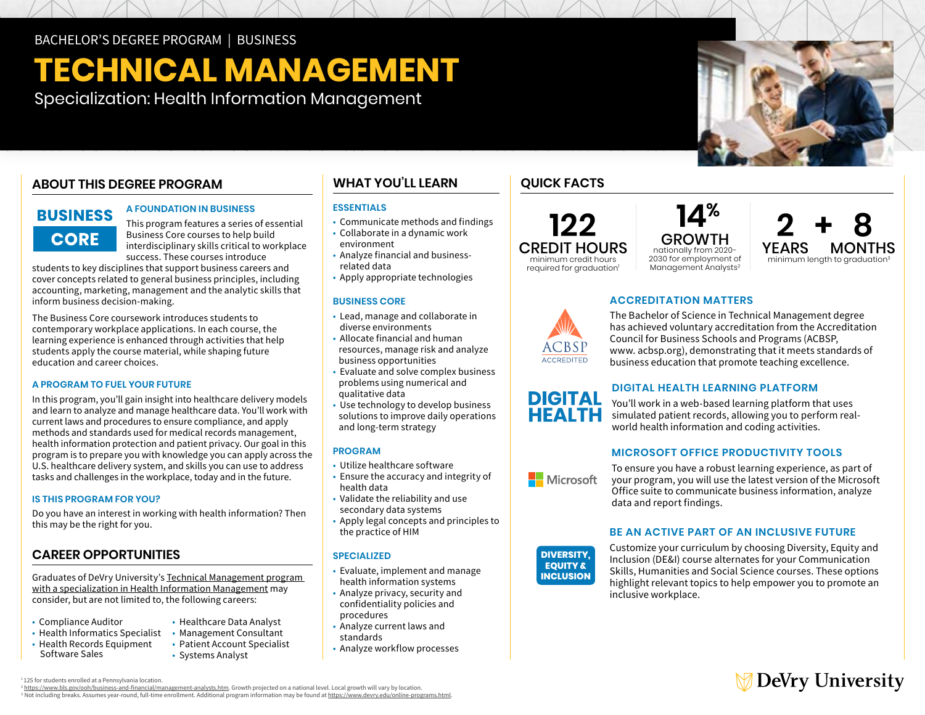# **TECHNICAL MANAGEMENT**

Specialization: Health Information Management

# **ABOUT THIS DEGREE PROGRAM**

# **BUSINESS CORE**

## **A FOUNDATION IN BUSINESS**

This program features a series of essential Business Core courses to help build interdisciplinary skills critical to workplace success. These courses introduce

students to key disciplines that support business careers and cover concepts related to general business principles, including accounting, marketing, management and the analytic skills that inform business decision-making.

The Business Core coursework introduces students to contemporary workplace applications. In each course, the learning experience is enhanced through activities that help students apply the course material, while shaping future education and career choices.

### **A PROGRAM TO FUEL YOUR FUTURE**

In this program, you'll gain insight into healthcare delivery models and learn to analyze and manage healthcare data. You'll work with current laws and procedures to ensure compliance, and apply methods and standards used for medical records management, health information protection and patient privacy. Our goal in this program is to prepare you with knowledge you can apply across the U.S. healthcare delivery system, and skills you can use to address tasks and challenges in the workplace, today and in the future.

#### **IS THIS PROGRAM FOR YOU?**

Do you have an interest in working with health information? Then this may be the right for you.

# **CAREER OPPORTUNITIES**

Graduates of DeVry University's [Technical Management program](https://www.devry.edu/online-programs/bachelors-degrees/business/health-information-management-specialization.html)  [with a specialization in Health Information Management](https://www.devry.edu/online-programs/bachelors-degrees/business/health-information-management-specialization.html) may consider, but are not limited to, the following careers:

- Compliance Auditor
- Health Informatics Specialist Management Consultant • Health Records Equipment
- 
- Healthcare Data Analyst
- Health Records Equipment Patient Account Specialist • Systems Analyst

# **WHAT YOU'LL LEARN**

## **ESSENTIALS**

- Communicate methods and findings
- • Collaborate in a dynamic work environment
- • Analyze financial and businessrelated data
- Apply appropriate technologies

#### **BUSINESS CORE**

- • Lead, manage and collaborate in diverse environments
- • Allocate financial and human resources, manage risk and analyze business opportunities
- • Evaluate and solve complex business problems using numerical and qualitative data
- solutions to improve daily operations • Use technology to develop business and long-term strategy

#### **PROGRAM**

- Utilize healthcare software
- • Ensure the accuracy and integrity of health data
- • Validate the reliability and use secondary data systems
- • Apply legal concepts and principles to the practice of HIM

#### **SPECIALIZED**

- • Evaluate, implement and manage health information systems
- • Analyze privacy, security and confidentiality policies and procedures
- • Analyze current laws and standards
- Analyze workflow processes

# **QUICK FACTS**



GROWTH nationally from 2020- 2030 for employment of Management Analysts<sup>2</sup>



# **ACCREDITATION MATTERS**

The Bachelor of Science in Technical Management degree has achieved voluntary accreditation from the Accreditation Council for Business Schools and Programs (ACBSP, [www. acbsp.org\)](https://acbsp.org), demonstrating that it meets standards of business education that promote teaching excellence.



You'll work in a web-based learning platform that uses simulated patient records, allowing you to perform realworld health information and coding activities.

# **MICROSOFT OFFICE PRODUCTIVITY TOOLS**

**Nicrosoft** 

To ensure you have a robust learning experience, as part of your program, you will use the latest version of the Microsoft Office suite to communicate business information, analyze data and report findings.

## **BE AN ACTIVE PART OF AN INCLUSIVE FUTURE**

**DIVERSITY. EQUITY & INCLUSION** 

Customize your curriculum by choosing Diversity, Equity and Inclusion (DE&I) course alternates for your Communication Skills, Humanities and Social Science courses. These options highlight relevant topics to help empower you to promote an inclusive workplace.

# **DeVry University**

<sup>1</sup>125 for students enrolled at a Pennsylvania location.<br><sup>2</sup> <u>https://www.bls.gov/ooh/business-and-financial/management-analysts.htm</u>. Growth projected on a national level. Local growth will vary by location. <sup>3</sup> Not including breaks[.](https://www.bls.gov/ooh/business-and-financial/management-analysts.htm) Assumes year-round, full-time enrollment. Additional program information may be found at <https://www.devry.edu/online-programs.html>